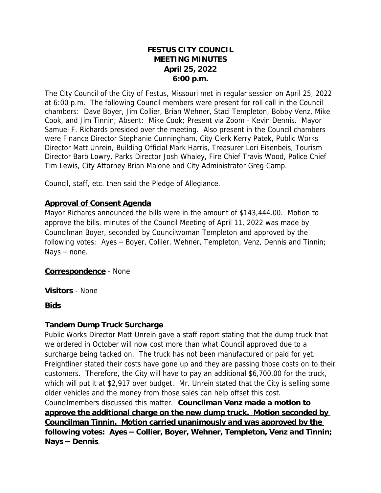# **FESTUS CITY COUNCIL MEETING MINUTES April 25, 2022 6:00 p.m.**

The City Council of the City of Festus, Missouri met in regular session on April 25, 2022 at 6:00 p.m. The following Council members were present for roll call in the Council chambers: Dave Boyer, Jim Collier, Brian Wehner, Staci Templeton, Bobby Venz, Mike Cook, and Jim Tinnin; Absent: Mike Cook; Present via Zoom - Kevin Dennis. Mayor Samuel F. Richards presided over the meeting. Also present in the Council chambers were Finance Director Stephanie Cunningham, City Clerk Kerry Patek, Public Works Director Matt Unrein, Building Official Mark Harris, Treasurer Lori Eisenbeis, Tourism Director Barb Lowry, Parks Director Josh Whaley, Fire Chief Travis Wood, Police Chief Tim Lewis, City Attorney Brian Malone and City Administrator Greg Camp.

Council, staff, etc. then said the Pledge of Allegiance.

## **Approval of Consent Agenda**

Mayor Richards announced the bills were in the amount of \$143,444.00. Motion to approve the bills, minutes of the Council Meeting of April 11, 2022 was made by Councilman Boyer, seconded by Councilwoman Templeton and approved by the following votes: Ayes – Boyer, Collier, Wehner, Templeton, Venz, Dennis and Tinnin; Nays – none.

## **Correspondence** - None

**Visitors** - None

## **Bids**

## **Tandem Dump Truck Surcharge**

Public Works Director Matt Unrein gave a staff report stating that the dump truck that we ordered in October will now cost more than what Council approved due to a surcharge being tacked on. The truck has not been manufactured or paid for yet. Freightliner stated their costs have gone up and they are passing those costs on to their customers. Therefore, the City will have to pay an additional \$6,700.00 for the truck, which will put it at \$2,917 over budget. Mr. Unrein stated that the City is selling some older vehicles and the money from those sales can help offset this cost. Councilmembers discussed this matter. *Councilman Venz made a motion to approve the additional charge on the new dump truck. Motion seconded by* 

*Councilman Tinnin. Motion carried unanimously and was approved by the following votes: Ayes* **–** *Collier, Boyer, Wehner, Templeton, Venz and Tinnin; Nays* **–** *Dennis*.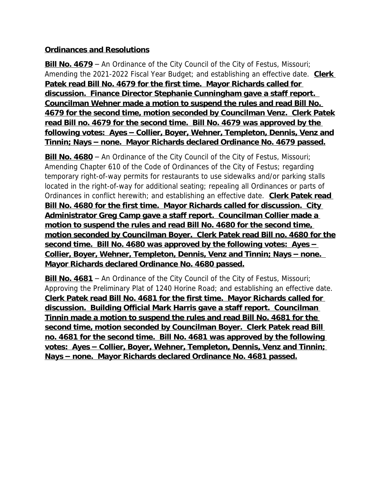# **Ordinances and Resolutions**

**Bill No. 4679** – An Ordinance of the City Council of the City of Festus, Missouri; Amending the 2021-2022 Fiscal Year Budget; and establishing an effective date. *Clerk Patek read Bill No. 4679 for the first time. Mayor Richards called for discussion. Finance Director Stephanie Cunningham gave a staff report. Councilman Wehner made a motion to suspend the rules and read Bill No. 4679 for the second time, motion seconded by Councilman Venz. Clerk Patek read Bill no. 4679 for the second time. Bill No. 4679 was approved by the following votes: Ayes* **–** *Collier, Boyer, Wehner, Templeton, Dennis, Venz and Tinnin; Nays* **–** *none. Mayor Richards declared Ordinance No. 4679 passed.*

**Bill No. 4680** – An Ordinance of the City Council of the City of Festus, Missouri; Amending Chapter 610 of the Code of Ordinances of the City of Festus; regarding temporary right-of-way permits for restaurants to use sidewalks and/or parking stalls located in the right-of-way for additional seating; repealing all Ordinances or parts of Ordinances in conflict herewith; and establishing an effective date. *Clerk Patek read Bill No. 4680 for the first time. Mayor Richards called for discussion. City Administrator Greg Camp gave a staff report. Councilman Collier made a motion to suspend the rules and read Bill No. 4680 for the second time, motion seconded by Councilman Boyer. Clerk Patek read Bill no. 4680 for the second time. Bill No. 4680 was approved by the following votes: Ayes* **–** *Collier, Boyer, Wehner, Templeton, Dennis, Venz and Tinnin; Nays – none. Mayor Richards declared Ordinance No. 4680 passed.*

**Bill No. 4681** – An Ordinance of the City Council of the City of Festus, Missouri; Approving the Preliminary Plat of 1240 Horine Road; and establishing an effective date. *Clerk Patek read Bill No. 4681 for the first time. Mayor Richards called for discussion. Building Official Mark Harris gave a staff report. Councilman Tinnin made a motion to suspend the rules and read Bill No. 4681 for the second time, motion seconded by Councilman Boyer. Clerk Patek read Bill no. 4681 for the second time. Bill No. 4681 was approved by the following votes: Ayes* **–** *Collier, Boyer, Wehner, Templeton, Dennis, Venz and Tinnin; Nays* **–** *none. Mayor Richards declared Ordinance No. 4681 passed.*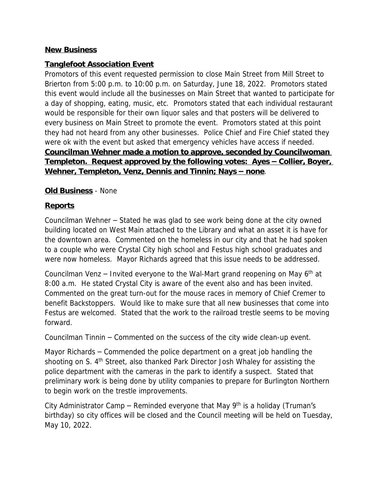## **New Business**

#### **Tanglefoot Association Event**

Promotors of this event requested permission to close Main Street from Mill Street to Brierton from 5:00 p.m. to 10:00 p.m. on Saturday, June 18, 2022. Promotors stated this event would include all the businesses on Main Street that wanted to participate for a day of shopping, eating, music, etc. Promotors stated that each individual restaurant would be responsible for their own liquor sales and that posters will be delivered to every business on Main Street to promote the event. Promotors stated at this point they had not heard from any other businesses. Police Chief and Fire Chief stated they were ok with the event but asked that emergency vehicles have access if needed. *Councilman Wehner made a motion to approve, seconded by Councilwoman <u>Templeton. Request approved by the following votes: Ayes – Collier, Boyer,*</u> *Wehner, Templeton, Venz, Dennis and Tinnin; Nays – none.* 

#### **Old Business** - None

#### **Reports**

Councilman Wehner – Stated he was glad to see work being done at the city owned building located on West Main attached to the Library and what an asset it is have for the downtown area. Commented on the homeless in our city and that he had spoken to a couple who were Crystal City high school and Festus high school graduates and were now homeless. Mayor Richards agreed that this issue needs to be addressed.

Councilman Venz – Invited everyone to the Wal-Mart grand reopening on May  $6<sup>th</sup>$  at 8:00 a.m. He stated Crystal City is aware of the event also and has been invited. Commented on the great turn-out for the mouse races in memory of Chief Cremer to benefit Backstoppers. Would like to make sure that all new businesses that come into Festus are welcomed. Stated that the work to the railroad trestle seems to be moving forward.

Councilman Tinnin – Commented on the success of the city wide clean-up event.

Mayor Richards – Commended the police department on a great job handling the shooting on S. 4<sup>th</sup> Street, also thanked Park Director Josh Whaley for assisting the police department with the cameras in the park to identify a suspect. Stated that preliminary work is being done by utility companies to prepare for Burlington Northern to begin work on the trestle improvements.

City Administrator Camp – Reminded everyone that May  $9<sup>th</sup>$  is a holiday (Truman's birthday) so city offices will be closed and the Council meeting will be held on Tuesday, May 10, 2022.